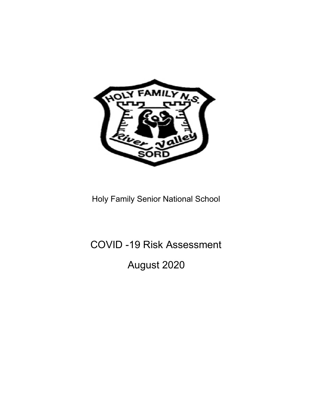

Holy Family Senior National School

## COVID -19 Risk Assessment

August 2020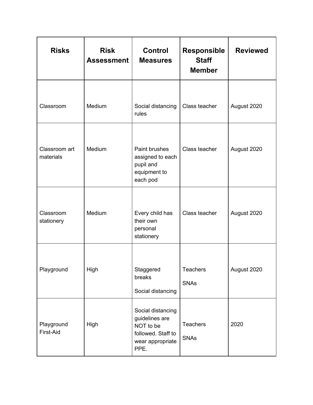| <b>Risks</b>               | <b>Risk</b><br><b>Assessment</b> | <b>Control</b><br><b>Measures</b>                                                                  | <b>Responsible</b><br><b>Staff</b><br><b>Member</b> | <b>Reviewed</b> |
|----------------------------|----------------------------------|----------------------------------------------------------------------------------------------------|-----------------------------------------------------|-----------------|
| Classroom                  | Medium                           | Social distancing<br>rules                                                                         | Class teacher                                       | August 2020     |
| Classroom art<br>materials | Medium                           | Paint brushes<br>assigned to each<br>pupil and<br>equipment to<br>each pod                         | Class teacher                                       | August 2020     |
| Classroom<br>stationery    | Medium                           | Every child has<br>their own<br>personal<br>stationery                                             | Class teacher                                       | August 2020     |
| Playground                 | High                             | Staggered<br>breaks<br>Social distancing                                                           | <b>Teachers</b><br><b>SNAs</b>                      | August 2020     |
| Playground<br>First-Aid    | High                             | Social distancing<br>guidelines are<br>NOT to be<br>followed. Staff to<br>wear appropriate<br>PPE. | Teachers<br><b>SNAs</b>                             | 2020            |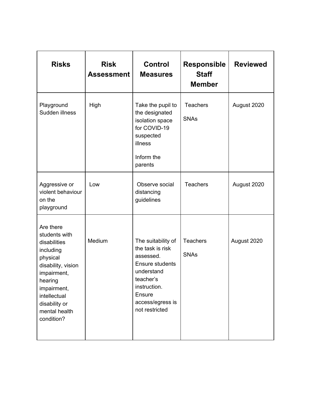| <b>Risks</b>                                                                                                                                                                                       | <b>Risk</b><br><b>Assessment</b> | <b>Control</b><br><b>Measures</b>                                                                                                                                 | <b>Responsible</b><br><b>Staff</b><br><b>Member</b> | <b>Reviewed</b> |
|----------------------------------------------------------------------------------------------------------------------------------------------------------------------------------------------------|----------------------------------|-------------------------------------------------------------------------------------------------------------------------------------------------------------------|-----------------------------------------------------|-----------------|
| Playground<br>Sudden illness                                                                                                                                                                       | High                             | Take the pupil to<br>the designated<br>isolation space<br>for COVID-19<br>suspected<br>illness<br>Inform the<br>parents                                           | <b>Teachers</b><br><b>SNAs</b>                      | August 2020     |
| Aggressive or<br>violent behaviour<br>on the<br>playground                                                                                                                                         | Low                              | Observe social<br>distancing<br>guidelines                                                                                                                        | <b>Teachers</b>                                     | August 2020     |
| Are there<br>students with<br>disabilities<br>including<br>physical<br>disability, vision<br>impairment,<br>hearing<br>impairment,<br>intellectual<br>disability or<br>mental health<br>condition? | Medium                           | The suitability of<br>the task is risk<br>assessed.<br>Ensure students<br>understand<br>teacher's<br>instruction.<br>Ensure<br>access/egress is<br>not restricted | <b>Teachers</b><br><b>SNAs</b>                      | August 2020     |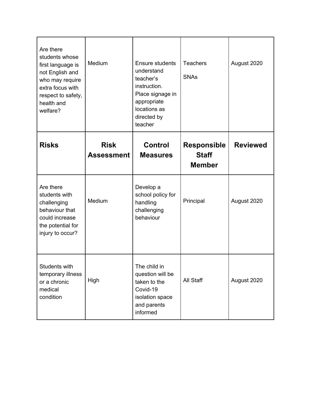| Are there<br>students whose<br>first language is<br>not English and<br>who may require<br>extra focus with<br>respect to safety,<br>health and<br>welfare? | Medium                           | <b>Ensure students</b><br>understand<br>teacher's<br>instruction.<br>Place signage in<br>appropriate<br>locations as<br>directed by<br>teacher | <b>Teachers</b><br><b>SNAs</b>                      | August 2020     |
|------------------------------------------------------------------------------------------------------------------------------------------------------------|----------------------------------|------------------------------------------------------------------------------------------------------------------------------------------------|-----------------------------------------------------|-----------------|
| <b>Risks</b>                                                                                                                                               | <b>Risk</b><br><b>Assessment</b> | <b>Control</b><br><b>Measures</b>                                                                                                              | <b>Responsible</b><br><b>Staff</b><br><b>Member</b> | <b>Reviewed</b> |
| Are there<br>students with<br>challenging<br>behaviour that<br>could increase<br>the potential for<br>injury to occur?                                     | Medium                           | Develop a<br>school policy for<br>handling<br>challenging<br>behaviour                                                                         | Principal                                           | August 2020     |
| Students with<br>temporary illness<br>or a chronic<br>medical<br>condition                                                                                 | High                             | The child in<br>question will be<br>taken to the<br>Covid-19<br>isolation space<br>and parents<br>informed                                     | All Staff                                           | August 2020     |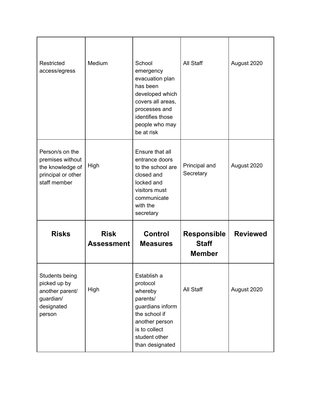| Restricted<br>access/egress                                                                   | Medium                           | School<br>emergency<br>evacuation plan<br>has been<br>developed which<br>covers all areas,<br>processes and<br>identifies those<br>people who may<br>be at risk | All Staff                                           | August 2020     |
|-----------------------------------------------------------------------------------------------|----------------------------------|-----------------------------------------------------------------------------------------------------------------------------------------------------------------|-----------------------------------------------------|-----------------|
| Person/s on the<br>premises without<br>the knowledge of<br>principal or other<br>staff member | High                             | Ensure that all<br>entrance doors<br>to the school are<br>closed and<br>locked and<br>visitors must<br>communicate<br>with the<br>secretary                     | Principal and<br>Secretary                          | August 2020     |
| <b>Risks</b>                                                                                  | <b>Risk</b><br><b>Assessment</b> | <b>Control</b><br><b>Measures</b>                                                                                                                               | <b>Responsible</b><br><b>Staff</b><br><b>Member</b> | <b>Reviewed</b> |
| Students being<br>picked up by<br>another parent/<br>guardian/<br>designated<br>person        | High                             | Establish a<br>protocol<br>whereby<br>parents/<br>guardians inform<br>the school if<br>another person<br>is to collect<br>student other<br>than designated      | All Staff                                           | August 2020     |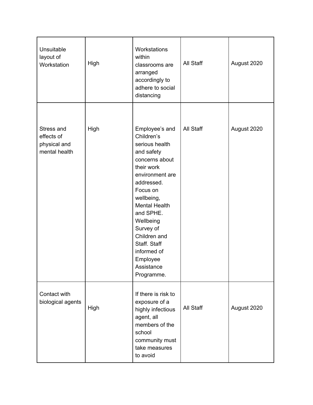| Unsuitable<br>layout of<br>Workstation                    | High | Workstations<br>within<br>classrooms are<br>arranged<br>accordingly to<br>adhere to social<br>distancing                                                                                                                                                                                                      | All Staff | August 2020 |
|-----------------------------------------------------------|------|---------------------------------------------------------------------------------------------------------------------------------------------------------------------------------------------------------------------------------------------------------------------------------------------------------------|-----------|-------------|
| Stress and<br>effects of<br>physical and<br>mental health | High | Employee's and<br>Children's<br>serious health<br>and safety<br>concerns about<br>their work<br>environment are<br>addressed.<br>Focus on<br>wellbeing,<br><b>Mental Health</b><br>and SPHE.<br>Wellbeing<br>Survey of<br>Children and<br>Staff. Staff<br>informed of<br>Employee<br>Assistance<br>Programme. | All Staff | August 2020 |
| Contact with<br>biological agents                         | High | If there is risk to<br>exposure of a<br>highly infectious<br>agent, all<br>members of the<br>school<br>community must<br>take measures<br>to avoid                                                                                                                                                            | All Staff | August 2020 |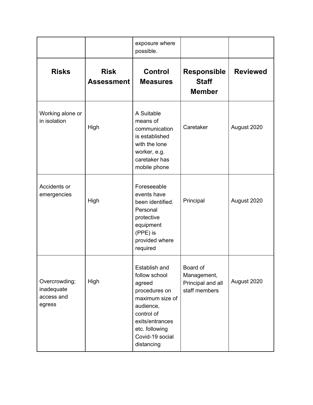|                                                     |                                  | exposure where<br>possible.                                                                                                                                                   |                                                               |                 |
|-----------------------------------------------------|----------------------------------|-------------------------------------------------------------------------------------------------------------------------------------------------------------------------------|---------------------------------------------------------------|-----------------|
| <b>Risks</b>                                        | <b>Risk</b><br><b>Assessment</b> | <b>Control</b><br><b>Measures</b>                                                                                                                                             | <b>Responsible</b><br><b>Staff</b><br><b>Member</b>           | <b>Reviewed</b> |
| Working alone or<br>in isolation                    | High                             | A Suitable<br>means of<br>communication<br>is established<br>with the lone<br>worker, e.g.<br>caretaker has<br>mobile phone                                                   | Caretaker                                                     | August 2020     |
| Accidents or<br>emergencies                         | High                             | Foreseeable<br>events have<br>been identified.<br>Personal<br>protective<br>equipment<br>(PPE) is<br>provided where<br>required                                               | Principal                                                     | August 2020     |
| Overcrowding;<br>inadequate<br>access and<br>egress | High                             | Establish and<br>follow school<br>agreed<br>procedures on<br>maximum size of<br>audience,<br>control of<br>exits/entrances<br>etc. following<br>Covid-19 social<br>distancing | Board of<br>Management,<br>Principal and all<br>staff members | August 2020     |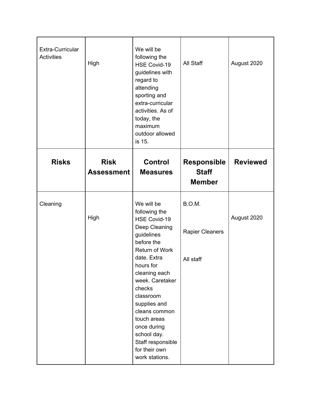| Extra-Curricular<br><b>Activities</b> | High                             | We will be<br>following the<br>HSE Covid-19<br>guidelines with<br>regard to<br>attending<br>sporting and<br>extra-curricular<br>activities. As of<br>today, the<br>maximum<br>outdoor allowed<br>is 15.                                                                                                                                        | All Staff                                           | August 2020     |
|---------------------------------------|----------------------------------|------------------------------------------------------------------------------------------------------------------------------------------------------------------------------------------------------------------------------------------------------------------------------------------------------------------------------------------------|-----------------------------------------------------|-----------------|
| <b>Risks</b>                          | <b>Risk</b><br><b>Assessment</b> | <b>Control</b><br><b>Measures</b>                                                                                                                                                                                                                                                                                                              | <b>Responsible</b><br><b>Staff</b><br><b>Member</b> | <b>Reviewed</b> |
| Cleaning                              | High                             | We will be<br>following the<br><b>HSE Covid-19</b><br>Deep Cleaning<br>guidelines<br>before the<br>Return of Work<br>date. Extra<br>hours for<br>cleaning each<br>week. Caretaker<br>checks<br>classroom<br>supplies and<br>cleans common<br>touch areas<br>once during<br>school day.<br>Staff responsible<br>for their own<br>work stations. | B.O.M.<br><b>Rapier Cleaners</b><br>All staff       | August 2020     |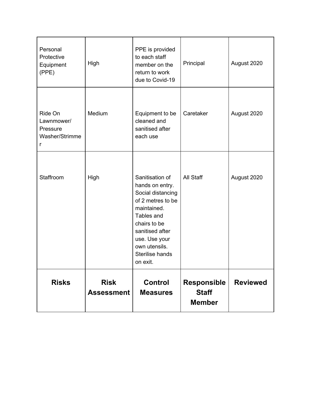| Personal<br>Protective<br>Equipment<br>(PPE)             | High                             | PPE is provided<br>to each staff<br>member on the<br>return to work<br>due to Covid-19                                                                                                                        | Principal                                           | August 2020     |
|----------------------------------------------------------|----------------------------------|---------------------------------------------------------------------------------------------------------------------------------------------------------------------------------------------------------------|-----------------------------------------------------|-----------------|
| Ride On<br>Lawnmower/<br>Pressure<br>Washer/Strimme<br>r | Medium                           | Equipment to be<br>cleaned and<br>sanitised after<br>each use                                                                                                                                                 | Caretaker                                           | August 2020     |
| Staffroom                                                | High                             | Sanitisation of<br>hands on entry.<br>Social distancing<br>of 2 metres to be<br>maintained.<br>Tables and<br>chairs to be<br>sanitised after<br>use. Use your<br>own utensils.<br>Sterilise hands<br>on exit. | All Staff                                           | August 2020     |
| <b>Risks</b>                                             | <b>Risk</b><br><b>Assessment</b> | <b>Control</b><br><b>Measures</b>                                                                                                                                                                             | <b>Responsible</b><br><b>Staff</b><br><b>Member</b> | <b>Reviewed</b> |